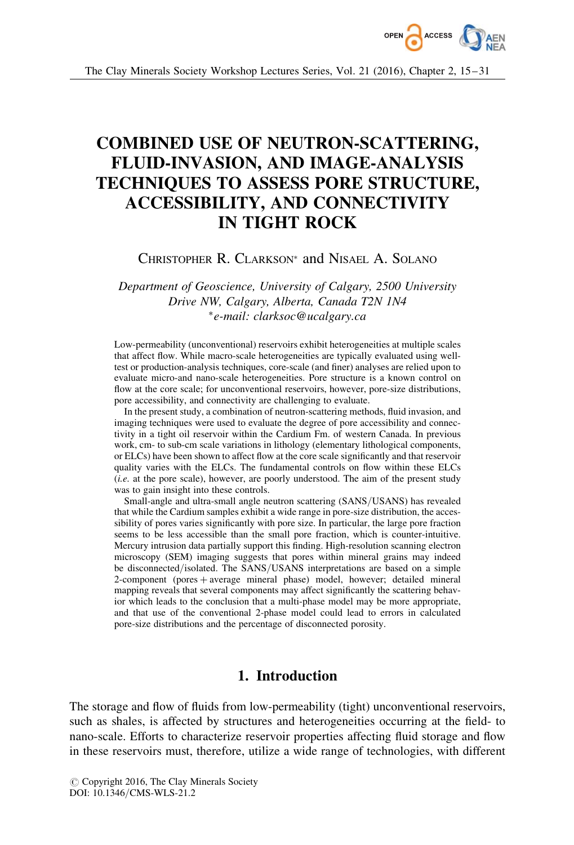

# COMBINED USE OF NEUTRON-SCATTERING, FLUID-INVASION, AND IMAGE-ANALYSIS TECHNIQUES TO ASSESS PORE STRUCTURE, ACCESSIBILITY, AND CONNECTIVITY IN TIGHT ROCK

CHRISTOPHER R. CLARKSON<sup>\*</sup> and NISAEL A. SOLANO

Department of Geoscience, University of Calgary, 2500 University Drive NW, Calgary, Alberta, Canada T2N 1N4 -e-mail: clarksoc@ucalgary.ca

Low-permeability (unconventional) reservoirs exhibit heterogeneities at multiple scales that affect flow. While macro-scale heterogeneities are typically evaluated using welltest or production-analysis techniques, core-scale (and finer) analyses are relied upon to evaluate micro-and nano-scale heterogeneities. Pore structure is a known control on flow at the core scale; for unconventional reservoirs, however, pore-size distributions, pore accessibility, and connectivity are challenging to evaluate.

In the present study, a combination of neutron-scattering methods, fluid invasion, and imaging techniques were used to evaluate the degree of pore accessibility and connectivity in a tight oil reservoir within the Cardium Fm. of western Canada. In previous work, cm- to sub-cm scale variations in lithology (elementary lithological components, or ELCs) have been shown to affect flow at the core scale significantly and that reservoir quality varies with the ELCs. The fundamental controls on flow within these ELCs (i.e. at the pore scale), however, are poorly understood. The aim of the present study was to gain insight into these controls.

Small-angle and ultra-small angle neutron scattering (SANS/USANS) has revealed that while the Cardium samples exhibit a wide range in pore-size distribution, the accessibility of pores varies significantly with pore size. In particular, the large pore fraction seems to be less accessible than the small pore fraction, which is counter-intuitive. Mercury intrusion data partially support this finding. High-resolution scanning electron microscopy (SEM) imaging suggests that pores within mineral grains may indeed be disconnected/isolated. The SANS/USANS interpretations are based on a simple 2-component (pores + average mineral phase) model, however; detailed mineral mapping reveals that several components may affect significantly the scattering behavior which leads to the conclusion that a multi-phase model may be more appropriate, and that use of the conventional 2-phase model could lead to errors in calculated pore-size distributions and the percentage of disconnected porosity.

## 1. Introduction

The storage and flow of fluids from low-permeability (tight) unconventional reservoirs, such as shales, is affected by structures and heterogeneities occurring at the field- to nano-scale. Efforts to characterize reservoir properties affecting fluid storage and flow in these reservoirs must, therefore, utilize a wide range of technologies, with different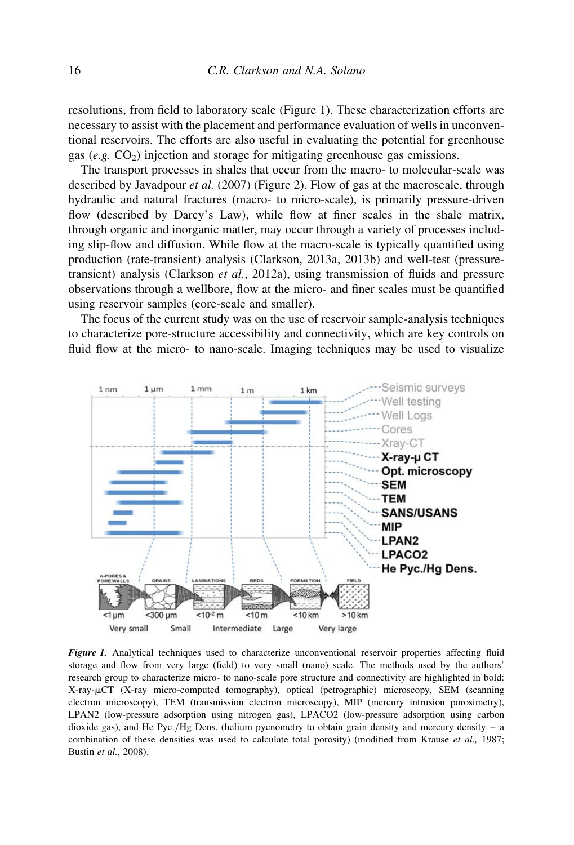resolutions, from field to laboratory scale (Figure 1). These characterization efforts are necessary to assist with the placement and performance evaluation of wells in unconventional reservoirs. The efforts are also useful in evaluating the potential for greenhouse gas (e.g.  $CO<sub>2</sub>$ ) injection and storage for mitigating greenhouse gas emissions.

The transport processes in shales that occur from the macro- to molecular-scale was described by Javadpour *et al.* (2007) (Figure 2). Flow of gas at the macroscale, through hydraulic and natural fractures (macro- to micro-scale), is primarily pressure-driven flow (described by Darcy's Law), while flow at finer scales in the shale matrix, through organic and inorganic matter, may occur through a variety of processes including slip-flow and diffusion. While flow at the macro-scale is typically quantified using production (rate-transient) analysis (Clarkson, 2013a, 2013b) and well-test (pressuretransient) analysis (Clarkson et al., 2012a), using transmission of fluids and pressure observations through a wellbore, flow at the micro- and finer scales must be quantified using reservoir samples (core-scale and smaller).

The focus of the current study was on the use of reservoir sample-analysis techniques to characterize pore-structure accessibility and connectivity, which are key controls on fluid flow at the micro- to nano-scale. Imaging techniques may be used to visualize



Figure 1. Analytical techniques used to characterize unconventional reservoir properties affecting fluid storage and flow from very large (field) to very small (nano) scale. The methods used by the authors' research group to characterize micro- to nano-scale pore structure and connectivity are highlighted in bold: X-ray-mCT (X-ray micro-computed tomography), optical (petrographic) microscopy, SEM (scanning electron microscopy), TEM (transmission electron microscopy), MIP (mercury intrusion porosimetry), LPAN2 (low-pressure adsorption using nitrogen gas), LPACO2 (low-pressure adsorption using carbon dioxide gas), and He Pyc./Hg Dens. (helium pycnometry to obtain grain density and mercury density – a combination of these densities was used to calculate total porosity) (modified from Krause et al., 1987; Bustin et al., 2008).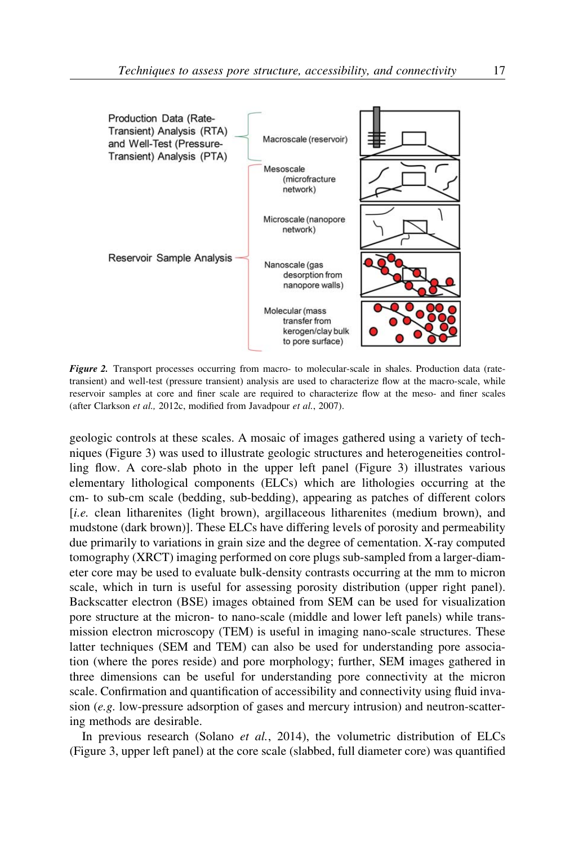

Figure 2. Transport processes occurring from macro- to molecular-scale in shales. Production data (ratetransient) and well-test (pressure transient) analysis are used to characterize flow at the macro-scale, while reservoir samples at core and finer scale are required to characterize flow at the meso- and finer scales (after Clarkson et al., 2012c, modified from Javadpour et al., 2007).

geologic controls at these scales. A mosaic of images gathered using a variety of techniques (Figure 3) was used to illustrate geologic structures and heterogeneities controlling flow. A core-slab photo in the upper left panel (Figure 3) illustrates various elementary lithological components (ELCs) which are lithologies occurring at the cm- to sub-cm scale (bedding, sub-bedding), appearing as patches of different colors [i.e. clean litharenites (light brown), argillaceous litharenites (medium brown), and mudstone (dark brown)]. These ELCs have differing levels of porosity and permeability due primarily to variations in grain size and the degree of cementation. X-ray computed tomography (XRCT) imaging performed on core plugs sub-sampled from a larger-diameter core may be used to evaluate bulk-density contrasts occurring at the mm to micron scale, which in turn is useful for assessing porosity distribution (upper right panel). Backscatter electron (BSE) images obtained from SEM can be used for visualization pore structure at the micron- to nano-scale (middle and lower left panels) while transmission electron microscopy (TEM) is useful in imaging nano-scale structures. These latter techniques (SEM and TEM) can also be used for understanding pore association (where the pores reside) and pore morphology; further, SEM images gathered in three dimensions can be useful for understanding pore connectivity at the micron scale. Confirmation and quantification of accessibility and connectivity using fluid invasion  $(e, g)$ . low-pressure adsorption of gases and mercury intrusion) and neutron-scattering methods are desirable.

In previous research (Solano *et al.*, 2014), the volumetric distribution of ELCs (Figure 3, upper left panel) at the core scale (slabbed, full diameter core) was quantified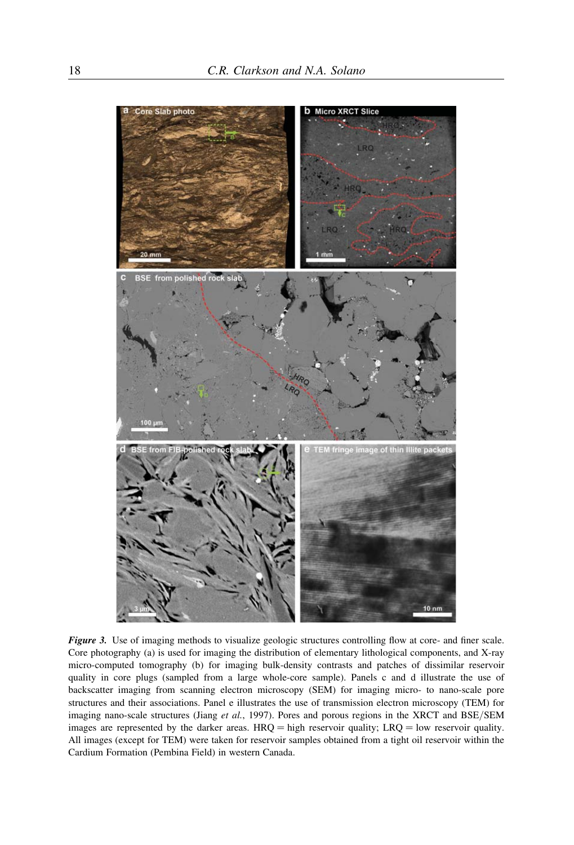

Figure 3. Use of imaging methods to visualize geologic structures controlling flow at core- and finer scale. Core photography (a) is used for imaging the distribution of elementary lithological components, and X-ray micro-computed tomography (b) for imaging bulk-density contrasts and patches of dissimilar reservoir quality in core plugs (sampled from a large whole-core sample). Panels c and d illustrate the use of backscatter imaging from scanning electron microscopy (SEM) for imaging micro- to nano-scale pore structures and their associations. Panel e illustrates the use of transmission electron microscopy (TEM) for imaging nano-scale structures (Jiang et al., 1997). Pores and porous regions in the XRCT and BSE/SEM images are represented by the darker areas.  $HRQ = high$  reservoir quality;  $LRQ = low$  reservoir quality. All images (except for TEM) were taken for reservoir samples obtained from a tight oil reservoir within the Cardium Formation (Pembina Field) in western Canada.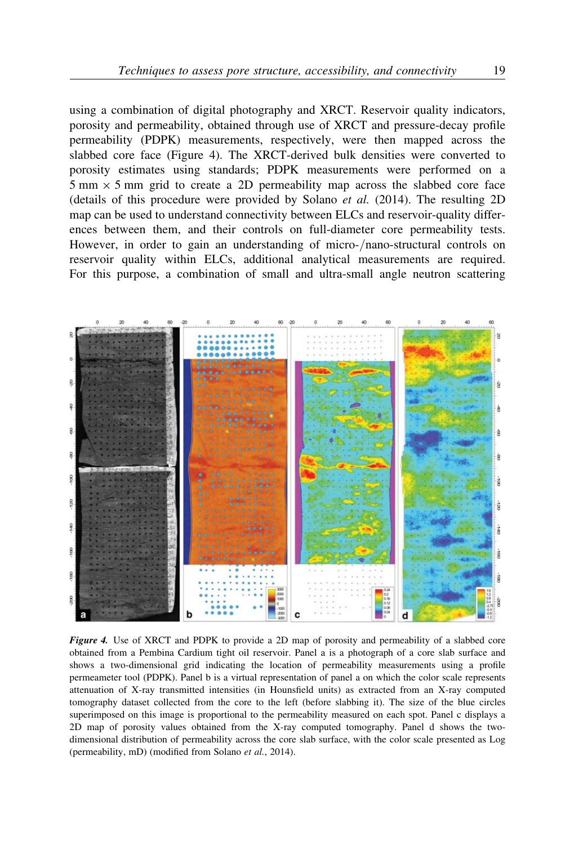using a combination of digital photography and XRCT. Reservoir quality indicators, porosity and permeability, obtained through use of XRCT and pressure-decay profile permeability (PDPK) measurements, respectively, were then mapped across the slabbed core face (Figure 4). The XRCT-derived bulk densities were converted to porosity estimates using standards; PDPK measurements were performed on a  $5 \text{ mm} \times 5 \text{ mm}$  grid to create a 2D permeability map across the slabbed core face (details of this procedure were provided by Solano *et al.* (2014). The resulting 2D map can be used to understand connectivity between ELCs and reservoir-quality differences between them, and their controls on full-diameter core permeability tests. However, in order to gain an understanding of micro-/nano-structural controls on reservoir quality within ELCs, additional analytical measurements are required. For this purpose, a combination of small and ultra-small angle neutron scattering



Figure 4. Use of XRCT and PDPK to provide a 2D map of porosity and permeability of a slabbed core obtained from a Pembina Cardium tight oil reservoir. Panel a is a photograph of a core slab surface and shows a two-dimensional grid indicating the location of permeability measurements using a profile permeameter tool (PDPK). Panel b is a virtual representation of panel a on which the color scale represents attenuation of X-ray transmitted intensities (in Hounsfield units) as extracted from an X-ray computed tomography dataset collected from the core to the left (before slabbing it). The size of the blue circles superimposed on this image is proportional to the permeability measured on each spot. Panel c displays a 2D map of porosity values obtained from the X-ray computed tomography. Panel d shows the twodimensional distribution of permeability across the core slab surface, with the color scale presented as Log (permeability, mD) (modified from Solano et al., 2014).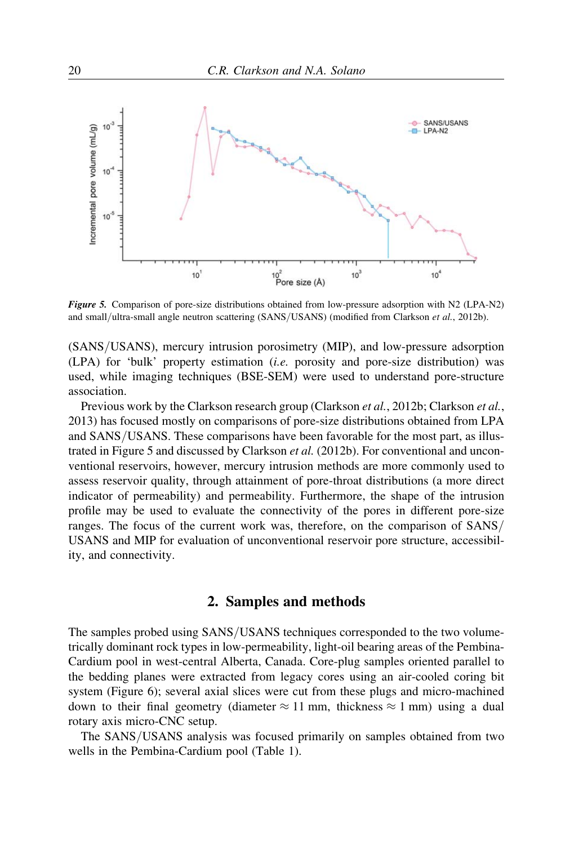

Figure 5. Comparison of pore-size distributions obtained from low-pressure adsorption with N2 (LPA-N2) and small/ultra-small angle neutron scattering (SANS/USANS) (modified from Clarkson et al., 2012b).

(SANS/USANS), mercury intrusion porosimetry (MIP), and low-pressure adsorption  $(LPA)$  for 'bulk' property estimation *(i.e.* porosity and pore-size distribution) was used, while imaging techniques (BSE-SEM) were used to understand pore-structure association.

Previous work by the Clarkson research group (Clarkson et al., 2012b; Clarkson et al., 2013) has focused mostly on comparisons of pore-size distributions obtained from LPA and SANS/USANS. These comparisons have been favorable for the most part, as illustrated in Figure 5 and discussed by Clarkson et al. (2012b). For conventional and unconventional reservoirs, however, mercury intrusion methods are more commonly used to assess reservoir quality, through attainment of pore-throat distributions (a more direct indicator of permeability) and permeability. Furthermore, the shape of the intrusion profile may be used to evaluate the connectivity of the pores in different pore-size ranges. The focus of the current work was, therefore, on the comparison of SANS/ USANS and MIP for evaluation of unconventional reservoir pore structure, accessibility, and connectivity.

## 2. Samples and methods

The samples probed using SANS/USANS techniques corresponded to the two volumetrically dominant rock types in low-permeability, light-oil bearing areas of the Pembina-Cardium pool in west-central Alberta, Canada. Core-plug samples oriented parallel to the bedding planes were extracted from legacy cores using an air-cooled coring bit system (Figure 6); several axial slices were cut from these plugs and micro-machined down to their final geometry (diameter  $\approx 11$  mm, thickness  $\approx 1$  mm) using a dual rotary axis micro-CNC setup.

The SANS/USANS analysis was focused primarily on samples obtained from two wells in the Pembina-Cardium pool (Table 1).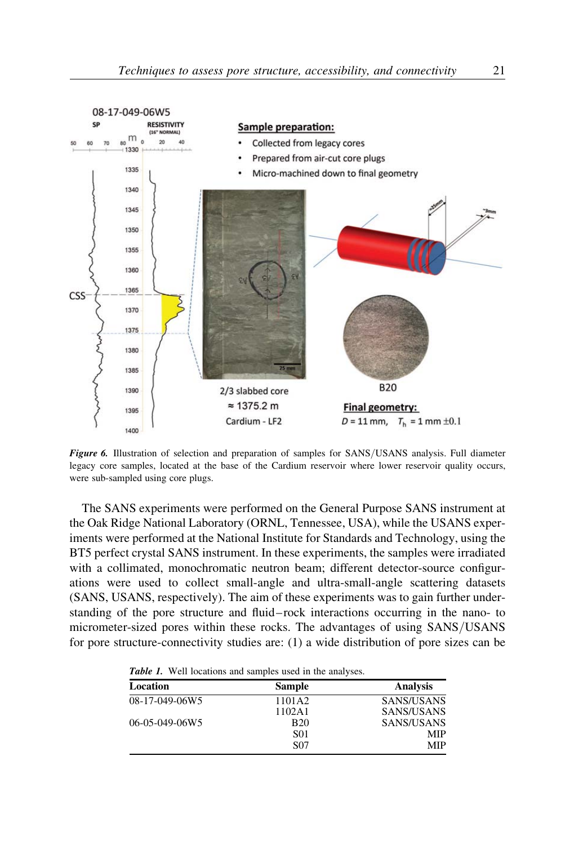

Figure 6. Illustration of selection and preparation of samples for SANS/USANS analysis. Full diameter legacy core samples, located at the base of the Cardium reservoir where lower reservoir quality occurs, were sub-sampled using core plugs.

The SANS experiments were performed on the General Purpose SANS instrument at the Oak Ridge National Laboratory (ORNL, Tennessee, USA), while the USANS experiments were performed at the National Institute for Standards and Technology, using the BT5 perfect crystal SANS instrument. In these experiments, the samples were irradiated with a collimated, monochromatic neutron beam; different detector-source configurations were used to collect small-angle and ultra-small-angle scattering datasets (SANS, USANS, respectively). The aim of these experiments was to gain further understanding of the pore structure and fluid – rock interactions occurring in the nano- to micrometer-sized pores within these rocks. The advantages of using SANS/USANS for pore structure-connectivity studies are: (1) a wide distribution of pore sizes can be

| <b>Table 1.</b> Well locations and samples used in the analyses. |  |  |
|------------------------------------------------------------------|--|--|
|------------------------------------------------------------------|--|--|

| Location       | <b>Sample</b>   | <b>Analysis</b> |
|----------------|-----------------|-----------------|
| 08-17-049-06W5 | 1101A2          | SANS/USANS      |
|                | 1102A1          | SANS/USANS      |
| 06-05-049-06W5 | <b>B20</b>      | SANS/USANS      |
|                | <b>S01</b>      | MIP             |
|                | S <sub>07</sub> | <b>MIP</b>      |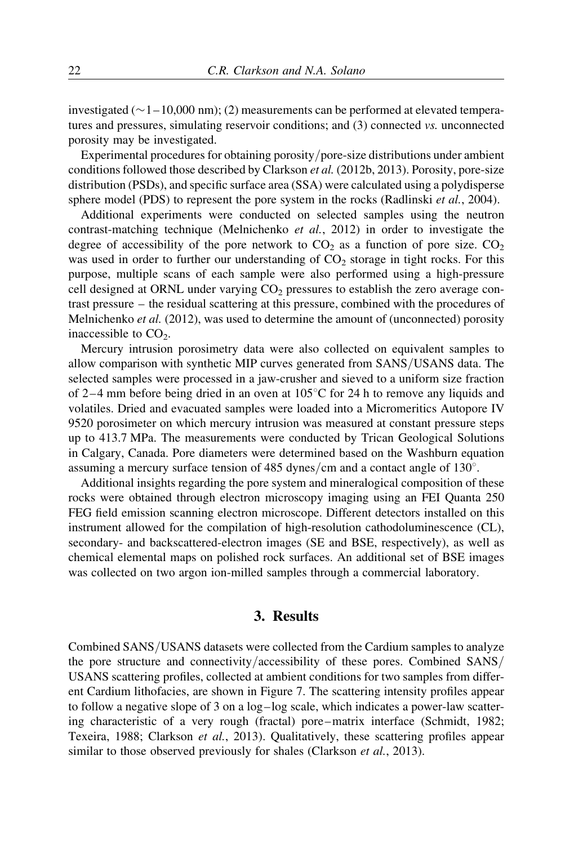investigated  $(\sim 1-10,000 \text{ nm})$ ; (2) measurements can be performed at elevated temperatures and pressures, simulating reservoir conditions; and (3) connected vs. unconnected porosity may be investigated.

Experimental procedures for obtaining porosity/pore-size distributions under ambient conditions followed those described by Clarkson et al. (2012b, 2013). Porosity, pore-size distribution (PSDs), and specific surface area (SSA) were calculated using a polydisperse sphere model (PDS) to represent the pore system in the rocks (Radlinski *et al.*, 2004).

Additional experiments were conducted on selected samples using the neutron contrast-matching technique (Melnichenko et al., 2012) in order to investigate the degree of accessibility of the pore network to  $CO<sub>2</sub>$  as a function of pore size.  $CO<sub>2</sub>$ was used in order to further our understanding of  $CO<sub>2</sub>$  storage in tight rocks. For this purpose, multiple scans of each sample were also performed using a high-pressure cell designed at ORNL under varying  $CO<sub>2</sub>$  pressures to establish the zero average contrast pressure – the residual scattering at this pressure, combined with the procedures of Melnichenko *et al.* (2012), was used to determine the amount of (unconnected) porosity inaccessible to  $CO<sub>2</sub>$ .

Mercury intrusion porosimetry data were also collected on equivalent samples to allow comparison with synthetic MIP curves generated from SANS/USANS data. The selected samples were processed in a jaw-crusher and sieved to a uniform size fraction of 2–4 mm before being dried in an oven at  $105^{\circ}$ C for 24 h to remove any liquids and volatiles. Dried and evacuated samples were loaded into a Micromeritics Autopore IV 9520 porosimeter on which mercury intrusion was measured at constant pressure steps up to 413.7 MPa. The measurements were conducted by Trican Geological Solutions in Calgary, Canada. Pore diameters were determined based on the Washburn equation assuming a mercury surface tension of  $485$  dynes/cm and a contact angle of  $130^{\circ}$ .

Additional insights regarding the pore system and mineralogical composition of these rocks were obtained through electron microscopy imaging using an FEI Quanta 250 FEG field emission scanning electron microscope. Different detectors installed on this instrument allowed for the compilation of high-resolution cathodoluminescence (CL), secondary- and backscattered-electron images (SE and BSE, respectively), as well as chemical elemental maps on polished rock surfaces. An additional set of BSE images was collected on two argon ion-milled samples through a commercial laboratory.

#### 3. Results

Combined SANS/USANS datasets were collected from the Cardium samples to analyze the pore structure and connectivity/accessibility of these pores. Combined SANS/ USANS scattering profiles, collected at ambient conditions for two samples from different Cardium lithofacies, are shown in Figure 7. The scattering intensity profiles appear to follow a negative slope of 3 on a log –log scale, which indicates a power-law scattering characteristic of a very rough (fractal) pore –matrix interface (Schmidt, 1982; Texeira, 1988; Clarkson et al., 2013). Qualitatively, these scattering profiles appear similar to those observed previously for shales (Clarkson et al., 2013).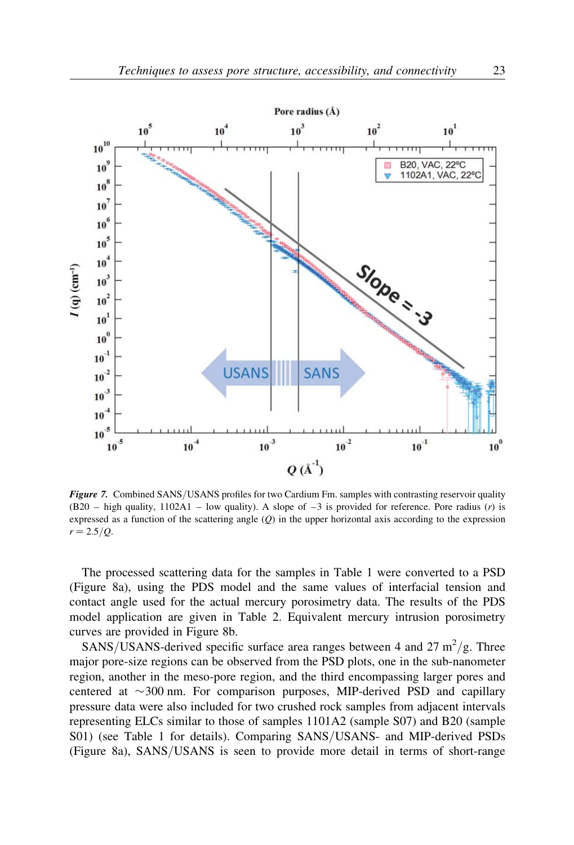

Figure 7. Combined SANS/USANS profiles for two Cardium Fm. samples with contrasting reservoir quality  $(B20 - high quality, 1102A1 - low quality)$ . A slope of  $-3$  is provided for reference. Pore radius (r) is expressed as a function of the scattering angle  $(O)$  in the upper horizontal axis according to the expression  $r = 2.5/Q$ .

The processed scattering data for the samples in Table 1 were converted to a PSD (Figure 8a), using the PDS model and the same values of interfacial tension and contact angle used for the actual mercury porosimetry data. The results of the PDS model application are given in Table 2. Equivalent mercury intrusion porosimetry curves are provided in Figure 8b.

SANS/USANS-derived specific surface area ranges between 4 and 27  $\text{m}^2/\text{g}$ . Three major pore-size regions can be observed from the PSD plots, one in the sub-nanometer region, another in the meso-pore region, and the third encompassing larger pores and centered at  $\sim$  300 nm. For comparison purposes, MIP-derived PSD and capillary pressure data were also included for two crushed rock samples from adjacent intervals representing ELCs similar to those of samples 1101A2 (sample S07) and B20 (sample S01) (see Table 1 for details). Comparing SANS/USANS- and MIP-derived PSDs (Figure 8a), SANS/USANS is seen to provide more detail in terms of short-range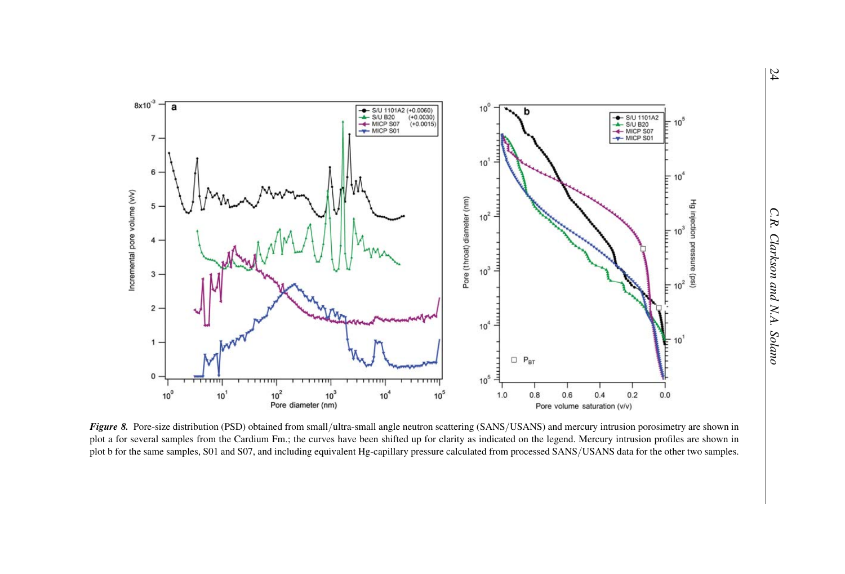

Figure 8. Pore-size distribution (PSD) obtained from small/ultra-small angle neutron scattering (SANS/USANS) and mercury intrusion porosimetry are shown in plot <sup>a</sup> for several samples from the Cardium Fm.; the curves have been shifted up for clarity as indicated on the legend. Mercury intrusion profiles are shown in <sup>p</sup>lot <sup>b</sup> for the same samples, S01 and S07, and including equivalent Hg-capillary pressure calculated from processe<sup>d</sup> SANS/USANS data for the other two samples.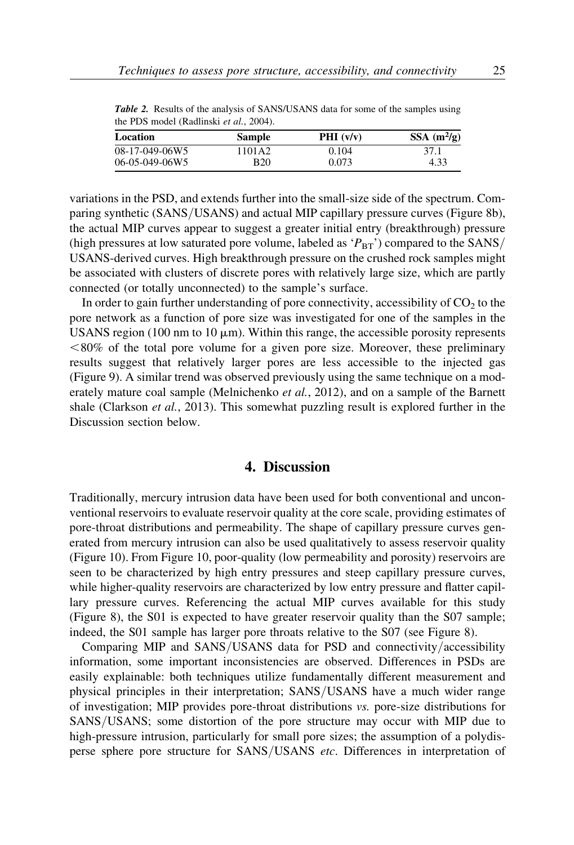| $SSA$ (m <sup>2</sup> /g)<br>PHI $(v/v)$ |
|------------------------------------------|
| 0.104<br>37.1                            |
| 0.073<br>4.33                            |
|                                          |

Table 2. Results of the analysis of SANS/USANS data for some of the samples using the PDS model (Radlinski et al., 2004).

variations in the PSD, and extends further into the small-size side of the spectrum. Comparing synthetic (SANS/USANS) and actual MIP capillary pressure curves (Figure 8b), the actual MIP curves appear to suggest a greater initial entry (breakthrough) pressure (high pressures at low saturated pore volume, labeled as  $P_{BT}$ ) compared to the SANS/ USANS-derived curves. High breakthrough pressure on the crushed rock samples might be associated with clusters of discrete pores with relatively large size, which are partly connected (or totally unconnected) to the sample's surface.

In order to gain further understanding of pore connectivity, accessibility of  $CO<sub>2</sub>$  to the pore network as a function of pore size was investigated for one of the samples in the USANS region (100 nm to 10  $\mu$ m). Within this range, the accessible porosity represents  $<80\%$  of the total pore volume for a given pore size. Moreover, these preliminary results suggest that relatively larger pores are less accessible to the injected gas (Figure 9). A similar trend was observed previously using the same technique on a moderately mature coal sample (Melnichenko et al., 2012), and on a sample of the Barnett shale (Clarkson et al., 2013). This somewhat puzzling result is explored further in the Discussion section below.

#### 4. Discussion

Traditionally, mercury intrusion data have been used for both conventional and unconventional reservoirs to evaluate reservoir quality at the core scale, providing estimates of pore-throat distributions and permeability. The shape of capillary pressure curves generated from mercury intrusion can also be used qualitatively to assess reservoir quality (Figure 10). From Figure 10, poor-quality (low permeability and porosity) reservoirs are seen to be characterized by high entry pressures and steep capillary pressure curves, while higher-quality reservoirs are characterized by low entry pressure and flatter capillary pressure curves. Referencing the actual MIP curves available for this study (Figure 8), the S01 is expected to have greater reservoir quality than the S07 sample; indeed, the S01 sample has larger pore throats relative to the S07 (see Figure 8).

Comparing MIP and SANS/USANS data for PSD and connectivity/accessibility information, some important inconsistencies are observed. Differences in PSDs are easily explainable: both techniques utilize fundamentally different measurement and physical principles in their interpretation; SANS/USANS have a much wider range of investigation; MIP provides pore-throat distributions vs. pore-size distributions for SANS/USANS; some distortion of the pore structure may occur with MIP due to high-pressure intrusion, particularly for small pore sizes; the assumption of a polydisperse sphere pore structure for SANS/USANS etc. Differences in interpretation of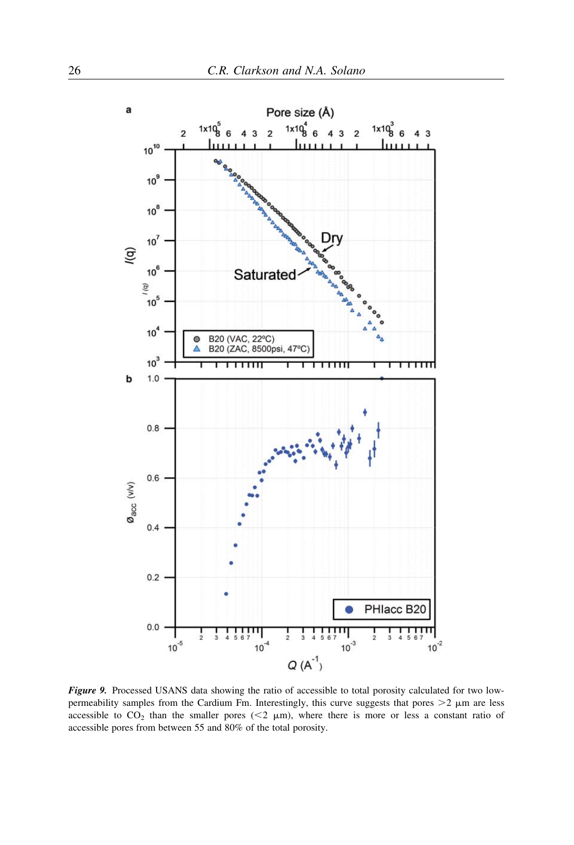

Figure 9. Processed USANS data showing the ratio of accessible to total porosity calculated for two lowpermeability samples from the Cardium Fm. Interestingly, this curve suggests that pores  $>2$   $\mu$ m are less accessible to  $CO_2$  than the smaller pores (<2  $\mu$ m), where there is more or less a constant ratio of accessible pores from between 55 and 80% of the total porosity.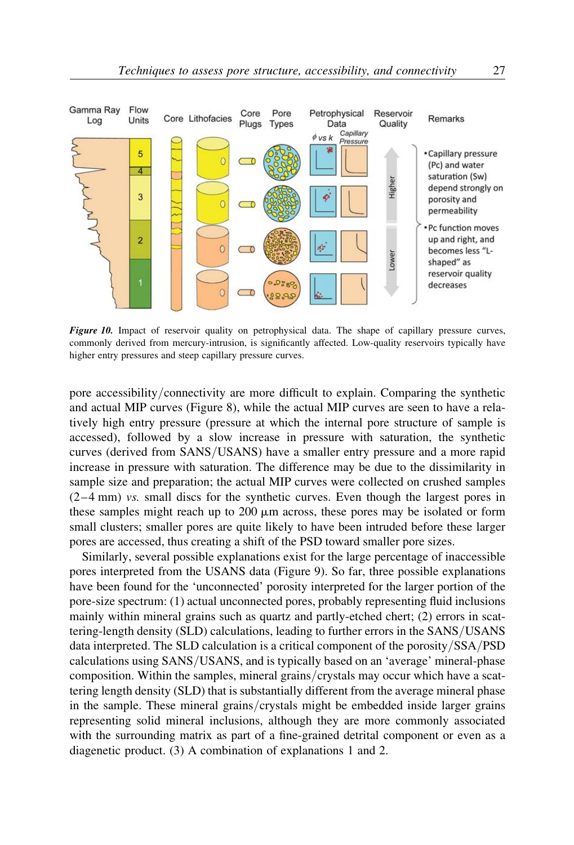

Figure 10. Impact of reservoir quality on petrophysical data. The shape of capillary pressure curves, commonly derived from mercury-intrusion, is significantly affected. Low-quality reservoirs typically have higher entry pressures and steep capillary pressure curves.

pore accessibility/connectivity are more difficult to explain. Comparing the synthetic and actual MIP curves (Figure 8), while the actual MIP curves are seen to have a relatively high entry pressure (pressure at which the internal pore structure of sample is accessed), followed by a slow increase in pressure with saturation, the synthetic curves (derived from SANS/USANS) have a smaller entry pressure and a more rapid increase in pressure with saturation. The difference may be due to the dissimilarity in sample size and preparation; the actual MIP curves were collected on crushed samples  $(2-4)$  mm) vs. small discs for the synthetic curves. Even though the largest pores in these samples might reach up to  $200 \mu m$  across, these pores may be isolated or form small clusters; smaller pores are quite likely to have been intruded before these larger pores are accessed, thus creating a shift of the PSD toward smaller pore sizes.

Similarly, several possible explanations exist for the large percentage of inaccessible pores interpreted from the USANS data (Figure 9). So far, three possible explanations have been found for the 'unconnected' porosity interpreted for the larger portion of the pore-size spectrum: (1) actual unconnected pores, probably representing fluid inclusions mainly within mineral grains such as quartz and partly-etched chert; (2) errors in scattering-length density (SLD) calculations, leading to further errors in the SANS/USANS data interpreted. The SLD calculation is a critical component of the porosity/SSA/PSD calculations using SANS/USANS, and is typically based on an 'average' mineral-phase composition. Within the samples, mineral grains/crystals may occur which have a scattering length density (SLD) that is substantially different from the average mineral phase in the sample. These mineral grains/crystals might be embedded inside larger grains representing solid mineral inclusions, although they are more commonly associated with the surrounding matrix as part of a fine-grained detrital component or even as a diagenetic product. (3) A combination of explanations 1 and 2.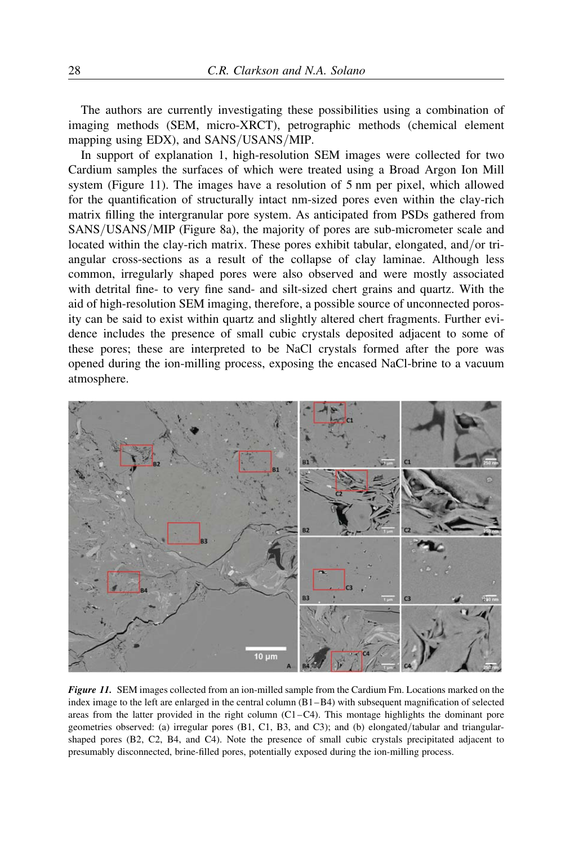The authors are currently investigating these possibilities using a combination of imaging methods (SEM, micro-XRCT), petrographic methods (chemical element mapping using EDX), and SANS/USANS/MIP.

In support of explanation 1, high-resolution SEM images were collected for two Cardium samples the surfaces of which were treated using a Broad Argon Ion Mill system (Figure 11). The images have a resolution of 5 nm per pixel, which allowed for the quantification of structurally intact nm-sized pores even within the clay-rich matrix filling the intergranular pore system. As anticipated from PSDs gathered from SANS/USANS/MIP (Figure 8a), the majority of pores are sub-micrometer scale and located within the clay-rich matrix. These pores exhibit tabular, elongated, and/or triangular cross-sections as a result of the collapse of clay laminae. Although less common, irregularly shaped pores were also observed and were mostly associated with detrital fine- to very fine sand- and silt-sized chert grains and quartz. With the aid of high-resolution SEM imaging, therefore, a possible source of unconnected porosity can be said to exist within quartz and slightly altered chert fragments. Further evidence includes the presence of small cubic crystals deposited adjacent to some of these pores; these are interpreted to be NaCl crystals formed after the pore was opened during the ion-milling process, exposing the encased NaCl-brine to a vacuum atmosphere.



Figure 11. SEM images collected from an ion-milled sample from the Cardium Fm. Locations marked on the index image to the left are enlarged in the central column (B1–B4) with subsequent magnification of selected areas from the latter provided in the right column (C1–C4). This montage highlights the dominant pore geometries observed: (a) irregular pores (B1, C1, B3, and C3); and (b) elongated/tabular and triangularshaped pores (B2, C2, B4, and C4). Note the presence of small cubic crystals precipitated adjacent to presumably disconnected, brine-filled pores, potentially exposed during the ion-milling process.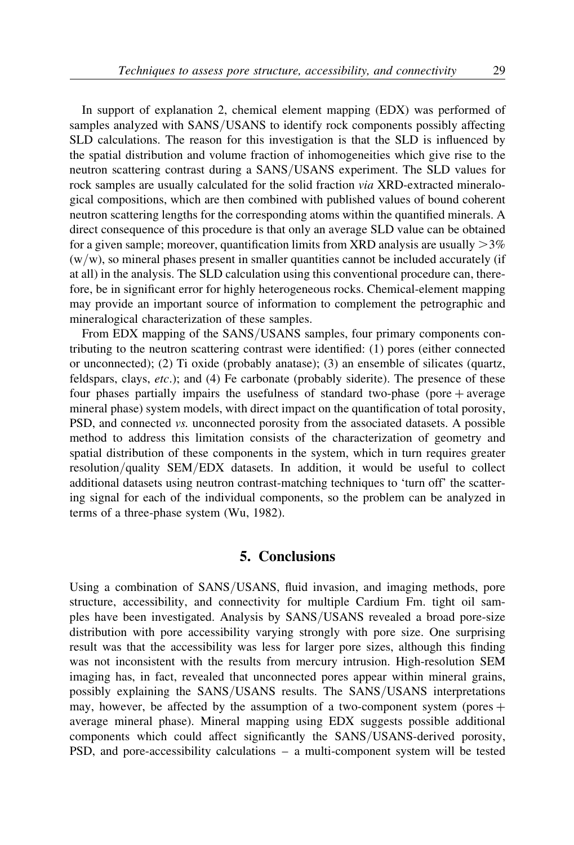In support of explanation 2, chemical element mapping (EDX) was performed of samples analyzed with SANS/USANS to identify rock components possibly affecting SLD calculations. The reason for this investigation is that the SLD is influenced by the spatial distribution and volume fraction of inhomogeneities which give rise to the neutron scattering contrast during a SANS/USANS experiment. The SLD values for rock samples are usually calculated for the solid fraction via XRD-extracted mineralogical compositions, which are then combined with published values of bound coherent neutron scattering lengths for the corresponding atoms within the quantified minerals. A direct consequence of this procedure is that only an average SLD value can be obtained for a given sample; moreover, quantification limits from XRD analysis are usually  $>3\%$  $(w/w)$ , so mineral phases present in smaller quantities cannot be included accurately (if at all) in the analysis. The SLD calculation using this conventional procedure can, therefore, be in significant error for highly heterogeneous rocks. Chemical-element mapping may provide an important source of information to complement the petrographic and mineralogical characterization of these samples.

From EDX mapping of the SANS/USANS samples, four primary components contributing to the neutron scattering contrast were identified: (1) pores (either connected or unconnected); (2) Ti oxide (probably anatase); (3) an ensemble of silicates (quartz, feldspars, clays, etc.); and (4) Fe carbonate (probably siderite). The presence of these four phases partially impairs the usefulness of standard two-phase (pore  $+$  average mineral phase) system models, with direct impact on the quantification of total porosity, PSD, and connected vs. unconnected porosity from the associated datasets. A possible method to address this limitation consists of the characterization of geometry and spatial distribution of these components in the system, which in turn requires greater resolution/quality SEM/EDX datasets. In addition, it would be useful to collect additional datasets using neutron contrast-matching techniques to 'turn off' the scattering signal for each of the individual components, so the problem can be analyzed in terms of a three-phase system (Wu, 1982).

#### 5. Conclusions

Using a combination of SANS/USANS, fluid invasion, and imaging methods, pore structure, accessibility, and connectivity for multiple Cardium Fm. tight oil samples have been investigated. Analysis by SANS/USANS revealed a broad pore-size distribution with pore accessibility varying strongly with pore size. One surprising result was that the accessibility was less for larger pore sizes, although this finding was not inconsistent with the results from mercury intrusion. High-resolution SEM imaging has, in fact, revealed that unconnected pores appear within mineral grains, possibly explaining the SANS/USANS results. The SANS/USANS interpretations may, however, be affected by the assumption of a two-component system (pores  $+$ average mineral phase). Mineral mapping using EDX suggests possible additional components which could affect significantly the SANS/USANS-derived porosity, PSD, and pore-accessibility calculations – a multi-component system will be tested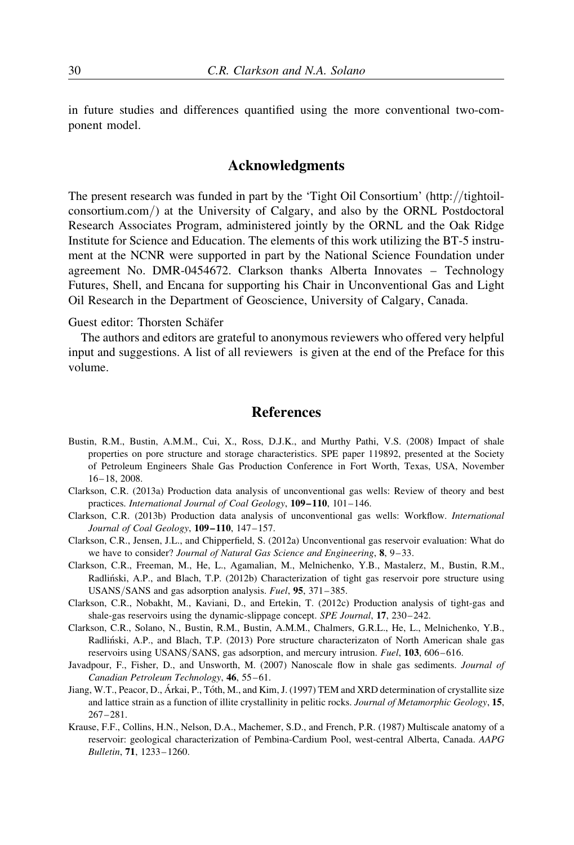in future studies and differences quantified using the more conventional two-component model.

# Acknowledgments

The present research was funded in part by the 'Tight Oil Consortium' (http://tightoilconsortium.com/) at the University of Calgary, and also by the ORNL Postdoctoral Research Associates Program, administered jointly by the ORNL and the Oak Ridge Institute for Science and Education. The elements of this work utilizing the BT-5 instrument at the NCNR were supported in part by the National Science Foundation under agreement No. DMR-0454672. Clarkson thanks Alberta Innovates – Technology Futures, Shell, and Encana for supporting his Chair in Unconventional Gas and Light Oil Research in the Department of Geoscience, University of Calgary, Canada.

#### Guest editor: Thorsten Schäfer

The authors and editors are grateful to anonymous reviewers who offered very helpful input and suggestions. A list of all reviewers is given at the end of the Preface for this volume.

## References

- Bustin, R.M., Bustin, A.M.M., Cui, X., Ross, D.J.K., and Murthy Pathi, V.S. (2008) Impact of shale properties on pore structure and storage characteristics. SPE paper 119892, presented at the Society of Petroleum Engineers Shale Gas Production Conference in Fort Worth, Texas, USA, November 16– 18, 2008.
- Clarkson, C.R. (2013a) Production data analysis of unconventional gas wells: Review of theory and best practices. International Journal of Coal Geology, 109–110, 101–146.
- Clarkson, C.R. (2013b) Production data analysis of unconventional gas wells: Workflow. International Journal of Coal Geology, 109–110, 147–157.
- Clarkson, C.R., Jensen, J.L., and Chipperfield, S. (2012a) Unconventional gas reservoir evaluation: What do we have to consider? Journal of Natural Gas Science and Engineering, 8, 9-33.
- Clarkson, C.R., Freeman, M., He, L., Agamalian, M., Melnichenko, Y.B., Mastalerz, M., Bustin, R.M., Radliński, A.P., and Blach, T.P. (2012b) Characterization of tight gas reservoir pore structure using USANS/SANS and gas adsorption analysis. Fuel, 95, 371– 385.
- Clarkson, C.R., Nobakht, M., Kaviani, D., and Ertekin, T. (2012c) Production analysis of tight-gas and shale-gas reservoirs using the dynamic-slippage concept. SPE Journal, 17, 230–242.
- Clarkson, C.R., Solano, N., Bustin, R.M., Bustin, A.M.M., Chalmers, G.R.L., He, L., Melnichenko, Y.B., Radlin´ski, A.P., and Blach, T.P. (2013) Pore structure characterizaton of North American shale gas reservoirs using USANS/SANS, gas adsorption, and mercury intrusion. *Fuel*, 103, 606–616.
- Javadpour, F., Fisher, D., and Unsworth, M. (2007) Nanoscale flow in shale gas sediments. Journal of Canadian Petroleum Technology, 46, 55–61.
- Jiang, W.T., Peacor, D., Árkai, P., Tóth, M., and Kim, J. (1997) TEM and XRD determination of crystallite size and lattice strain as a function of illite crystallinity in pelitic rocks. Journal of Metamorphic Geology, 15, 267–281.
- Krause, F.F., Collins, H.N., Nelson, D.A., Machemer, S.D., and French, P.R. (1987) Multiscale anatomy of a reservoir: geological characterization of Pembina-Cardium Pool, west-central Alberta, Canada. AAPG Bulletin, 71, 1233– 1260.